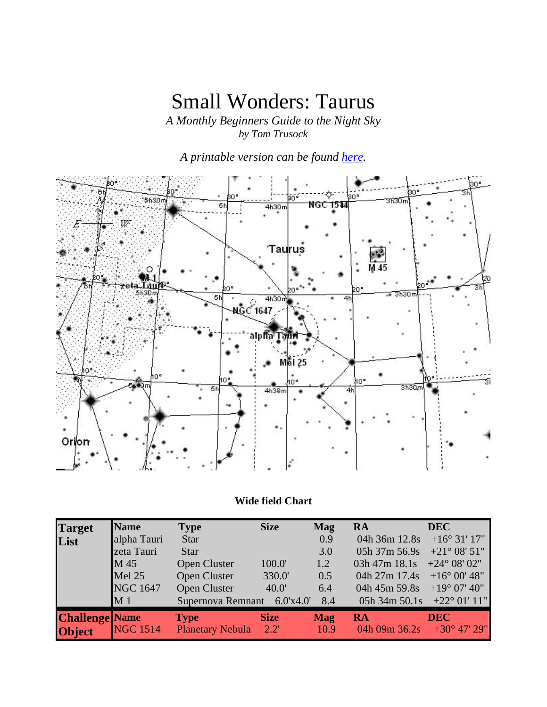# Small Wonders: Taurus

*A Monthly Beginners Guide to the Night Sky by Tom Trusock* 

*A printable version can be found here.*



### **Wide field Chart**

| <b>Target</b>         | <b>Name</b>     | <b>Type</b>                 | <b>Size</b> | <b>Mag</b> | <b>RA</b>                           | <b>DEC</b>             |
|-----------------------|-----------------|-----------------------------|-------------|------------|-------------------------------------|------------------------|
| List                  | alpha Tauri     | Star                        |             | 0.9        | 04h 36m 12.8s                       | $+16^{\circ}31'17''$   |
|                       | zeta Tauri      | <b>Star</b>                 |             | 3.0        | 05h 37m 56.9s                       | $+21^{\circ} 08' 51''$ |
|                       | M 45            | Open Cluster                | 100.0       | 1.2        | 03h 47m 18.1s $+24^{\circ}$ 08' 02" |                        |
|                       | Mel 25          | Open Cluster                | 330.0       | 0.5        | 04h 27m 17.4s                       | $+16^{\circ} 00' 48''$ |
|                       | <b>NGC 1647</b> | Open Cluster                | 40.0'       | 6.4        | 04h 45m 59.8s                       | $+19^{\circ}$ 07' 40"  |
|                       | M <sub>1</sub>  | Supernova Remnant 6.0'x4.0' |             | 8.4        | 05h 34m 50.1s $+22^{\circ}$ 01' 11" |                        |
| <b>Challenge Name</b> |                 | <b>Type</b>                 | <b>Size</b> | <b>Mag</b> | RA                                  | <b>DEC</b>             |
| Object                | <b>NGC 1514</b> | Planetary Nebula 2.2'       |             | 10.9       | 04h 09m 36.2s $+30^{\circ}$ 47' 29" |                        |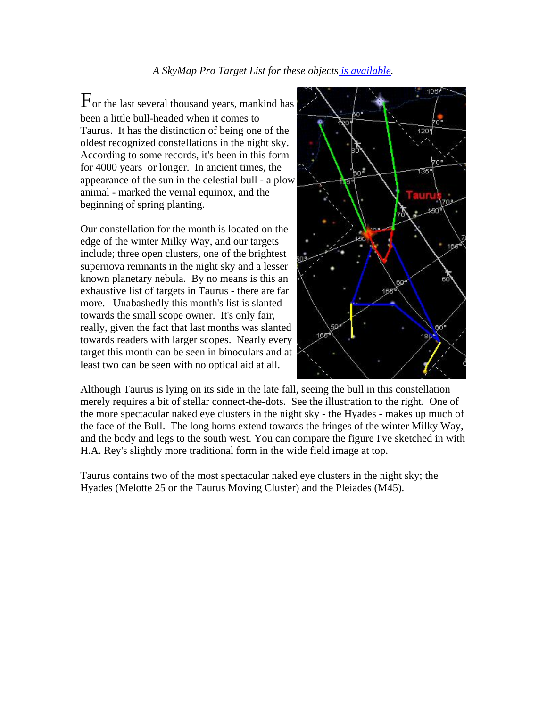$F_{\text{or the last several thousand years, manifold has}}$ been a little bull-headed when it comes to Taurus. It has the distinction of being one of the oldest recognized constellations in the night sky. According to some records, it's been in this form for 4000 years or longer. In ancient times, the appearance of the sun in the celestial bull - a plow animal - marked the vernal equinox, and the beginning of spring planting.

Our constellation for the month is located on the edge of the winter Milky Way, and our targets include; three open clusters, one of the brightest supernova remnants in the night sky and a lesser known planetary nebula. By no means is this an exhaustive list of targets in Taurus - there are far more. Unabashedly this month's list is slanted towards the small scope owner. It's only fair, really, given the fact that last months was slanted towards readers with larger scopes. Nearly every target this month can be seen in binoculars and at least two can be seen with no optical aid at all.



Although Taurus is lying on its side in the late fall, seeing the bull in this constellation merely requires a bit of stellar connect-the-dots. See the illustration to the right. One of the more spectacular naked eye clusters in the night sky - the Hyades - makes up much of the face of the Bull. The long horns extend towards the fringes of the winter Milky Way, and the body and legs to the south west. You can compare the figure I've sketched in with H.A. Rey's slightly more traditional form in the wide field image at top.

Taurus contains two of the most spectacular naked eye clusters in the night sky; the Hyades (Melotte 25 or the Taurus Moving Cluster) and the Pleiades (M45).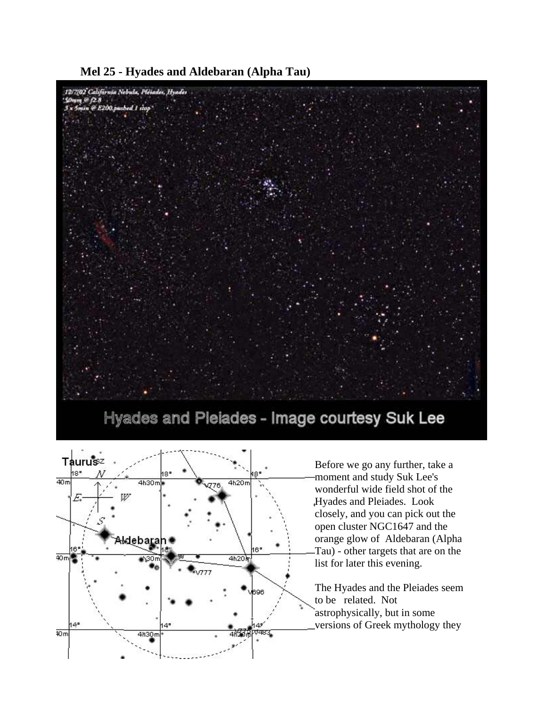



Hyades and Pleiades - Image courtesy Suk Lee



Before we go any further, take a moment and study Suk Lee's wonderful wide field shot of the Hyades and Pleiades. Look closely, and you can pick out the open cluster NGC1647 and the orange glow of Aldebaran (Alpha Tau) - other targets that are on the list for later this evening.

The Hyades and the Pleiades seem to be related. Not astrophysically, but in some versions of Greek mythology they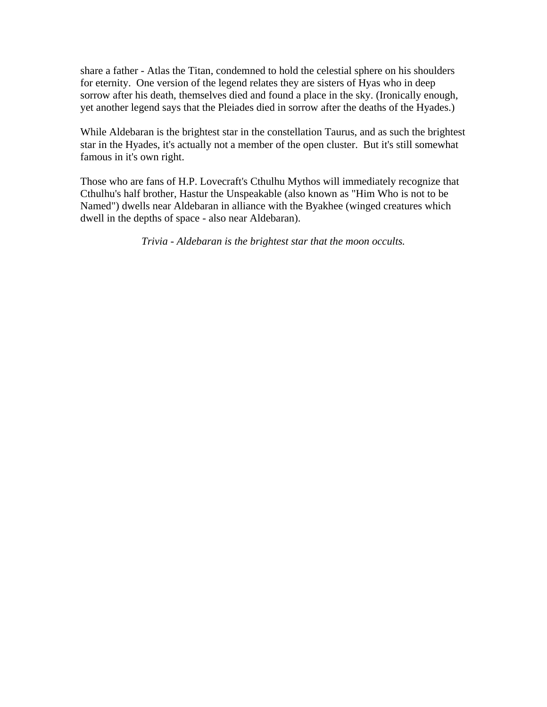share a father - Atlas the Titan, condemned to hold the celestial sphere on his shoulders for eternity. One version of the legend relates they are sisters of Hyas who in deep sorrow after his death, themselves died and found a place in the sky. (Ironically enough, yet another legend says that the Pleiades died in sorrow after the deaths of the Hyades.)

While Aldebaran is the brightest star in the constellation Taurus, and as such the brightest star in the Hyades, it's actually not a member of the open cluster. But it's still somewhat famous in it's own right.

Those who are fans of H.P. Lovecraft's Cthulhu Mythos will immediately recognize that Cthulhu's half brother, Hastur the Unspeakable (also known as "Him Who is not to be Named") dwells near Aldebaran in alliance with the Byakhee (winged creatures which dwell in the depths of space - also near Aldebaran).

*Trivia - Aldebaran is the brightest star that the moon occults.*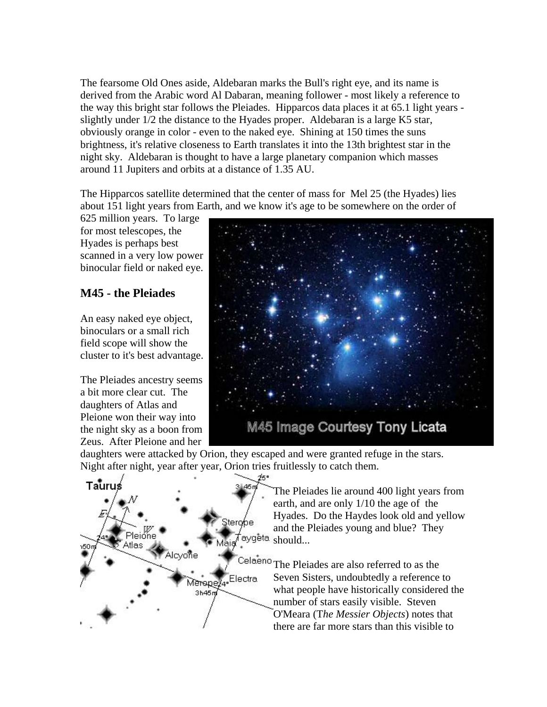The fearsome Old Ones aside, Aldebaran marks the Bull's right eye, and its name is derived from the Arabic word Al Dabaran, meaning follower - most likely a reference to the way this bright star follows the Pleiades. Hipparcos data places it at 65.1 light years slightly under 1/2 the distance to the Hyades proper. Aldebaran is a large K5 star, obviously orange in color - even to the naked eye. Shining at 150 times the suns brightness, it's relative closeness to Earth translates it into the 13th brightest star in the night sky. Aldebaran is thought to have a large planetary companion which masses around 11 Jupiters and orbits at a distance of 1.35 AU.

The Hipparcos satellite determined that the center of mass for Mel 25 (the Hyades) lies about 151 light years from Earth, and we know it's age to be somewhere on the order of

625 million years. To large for most telescopes, the Hyades is perhaps best scanned in a very low power binocular field or naked eye.

## **M45 - the Pleiades**

An easy naked eye object, binoculars or a small rich field scope will show the cluster to it's best advantage.

The Pleiades ancestry seems a bit more clear cut. The daughters of Atlas and Pleione won their way into the night sky as a boon from Zeus. After Pleione and her



daughters were attacked by Orion, they escaped and were granted refuge in the stars. Night after night, year after year, Orion tries fruitlessly to catch them.



The Pleiades lie around 400 light years from earth, and are only 1/10 the age of the Hyades. Do the Haydes look old and yellow and the Pleiades young and blue? They aygeta <sub>should...</sub>

Celaeno The Pleiades are also referred to as the Seven Sisters, undoubtedly a reference to what people have historically considered the number of stars easily visible. Steven O'Meara (T*he Messier Objects*) notes that there are far more stars than this visible to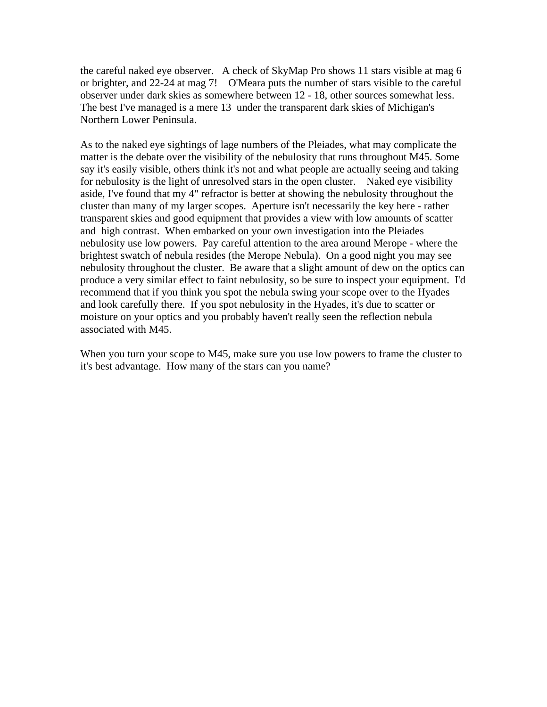the careful naked eye observer. A check of SkyMap Pro shows 11 stars visible at mag 6 or brighter, and 22-24 at mag 7! O'Meara puts the number of stars visible to the careful observer under dark skies as somewhere between 12 - 18, other sources somewhat less. The best I've managed is a mere 13 under the transparent dark skies of Michigan's Northern Lower Peninsula.

As to the naked eye sightings of lage numbers of the Pleiades, what may complicate the matter is the debate over the visibility of the nebulosity that runs throughout M45. Some say it's easily visible, others think it's not and what people are actually seeing and taking for nebulosity is the light of unresolved stars in the open cluster. Naked eye visibility aside, I've found that my 4" refractor is better at showing the nebulosity throughout the cluster than many of my larger scopes. Aperture isn't necessarily the key here - rather transparent skies and good equipment that provides a view with low amounts of scatter and high contrast. When embarked on your own investigation into the Pleiades nebulosity use low powers. Pay careful attention to the area around Merope - where the brightest swatch of nebula resides (the Merope Nebula). On a good night you may see nebulosity throughout the cluster. Be aware that a slight amount of dew on the optics can produce a very similar effect to faint nebulosity, so be sure to inspect your equipment. I'd recommend that if you think you spot the nebula swing your scope over to the Hyades and look carefully there. If you spot nebulosity in the Hyades, it's due to scatter or moisture on your optics and you probably haven't really seen the reflection nebula associated with M45.

When you turn your scope to M45, make sure you use low powers to frame the cluster to it's best advantage. How many of the stars can you name?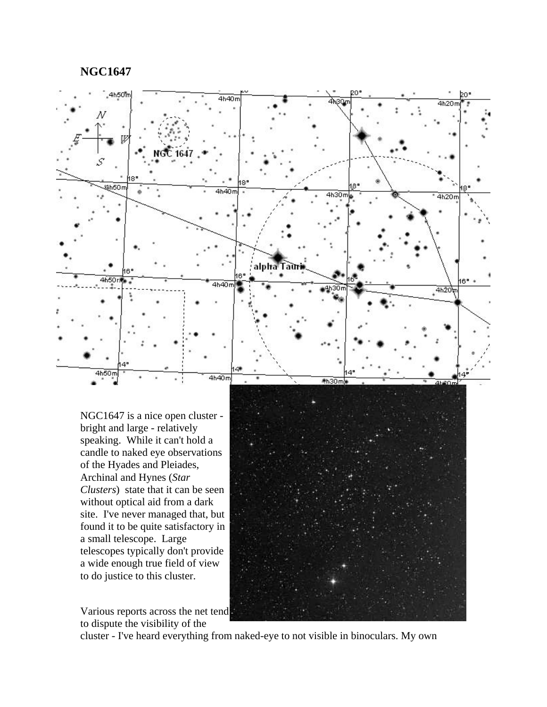**NGC1647**



speaking. While it can't hold a candle to naked eye observations of the Hyades and Pleiades, Archinal and Hynes (*Star Clusters*) state that it can be seen without optical aid from a dark site. I've never managed that, but found it to be quite satisfactory in a small telescope. Large telescopes typically don't provide a wide enough true field of view to do justice to this cluster.

Various reports across the net tend to dispute the visibility of the



cluster - I've heard everything from naked-eye to not visible in binoculars. My own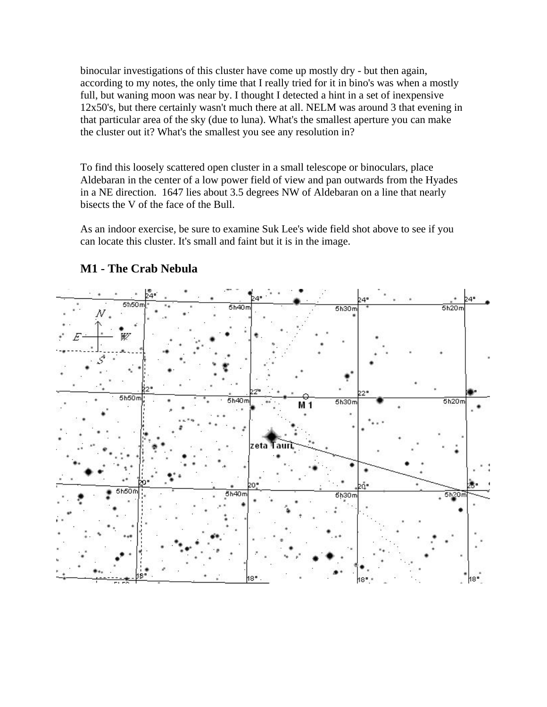binocular investigations of this cluster have come up mostly dry - but then again, according to my notes, the only time that I really tried for it in bino's was when a mostly full, but waning moon was near by. I thought I detected a hint in a set of inexpensive 12x50's, but there certainly wasn't much there at all. NELM was around 3 that evening in that particular area of the sky (due to luna). What's the smallest aperture you can make the cluster out it? What's the smallest you see any resolution in?

To find this loosely scattered open cluster in a small telescope or binoculars, place Aldebaran in the center of a low power field of view and pan outwards from the Hyades in a NE direction. 1647 lies about 3.5 degrees NW of Aldebaran on a line that nearly bisects the V of the face of the Bull.

As an indoor exercise, be sure to examine Suk Lee's wide field shot above to see if you can locate this cluster. It's small and faint but it is in the image.



### **M1 - The Crab Nebula**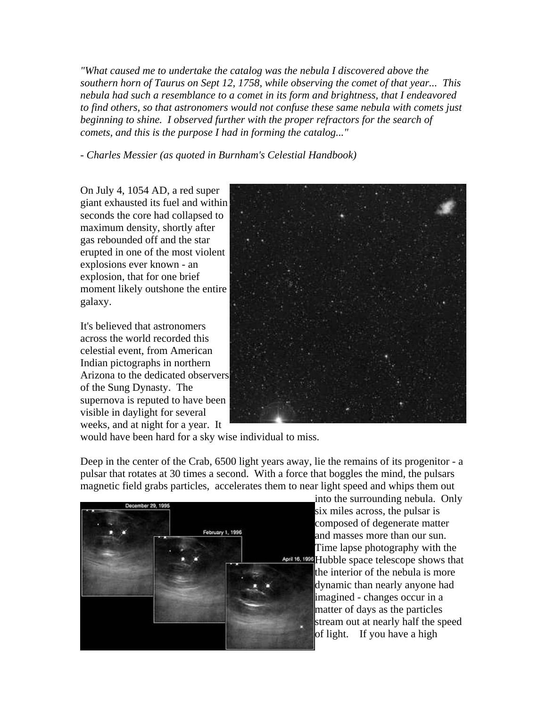*"What caused me to undertake the catalog was the nebula I discovered above the southern horn of Taurus on Sept 12, 1758, while observing the comet of that year... This nebula had such a resemblance to a comet in its form and brightness, that I endeavored to find others, so that astronomers would not confuse these same nebula with comets just*  beginning to shine. I observed further with the proper refractors for the search of *comets, and this is the purpose I had in forming the catalog..."*

*- Charles Messier (as quoted in Burnham's Celestial Handbook)*

On July 4, 1054 AD, a red super giant exhausted its fuel and within seconds the core had collapsed to maximum density, shortly after gas rebounded off and the star erupted in one of the most violent explosions ever known - an explosion, that for one brief moment likely outshone the entire galaxy.

It's believed that astronomers across the world recorded this celestial event, from American Indian pictographs in northern Arizona to the dedicated observers of the Sung Dynasty. The supernova is reputed to have been visible in daylight for several weeks, and at night for a year. It



would have been hard for a sky wise individual to miss.

Deep in the center of the Crab, 6500 light years away, lie the remains of its progenitor - a pulsar that rotates at 30 times a second. With a force that boggles the mind, the pulsars magnetic field grabs particles, accelerates them to near light speed and whips them out



into the surrounding nebula. Only six miles across, the pulsar is composed of degenerate matter and masses more than our sun. Time lapse photography with the **April 16, 1998** Hubble space telescope shows that the interior of the nebula is more dynamic than nearly anyone had imagined - changes occur in a matter of days as the particles stream out at nearly half the speed of light. If you have a high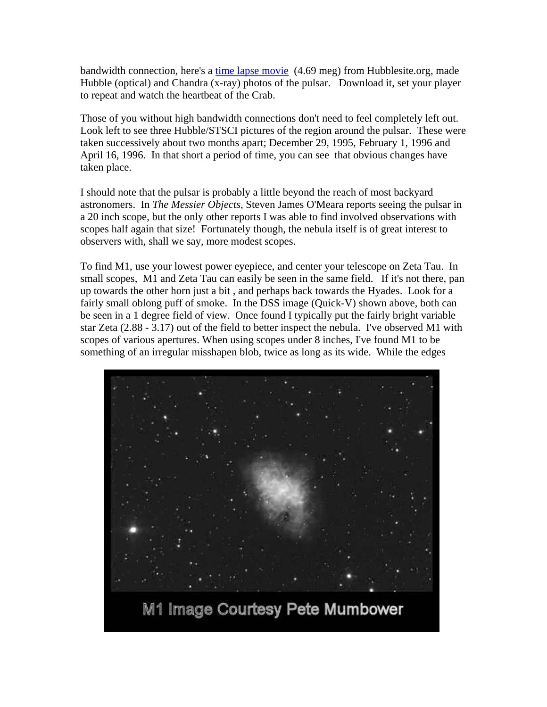bandwidth connection, here's a time lapse movie (4.69 meg) from Hubblesite.org, made Hubble (optical) and Chandra (x-ray) photos of the pulsar. Download it, set your player to repeat and watch the heartbeat of the Crab.

Those of you without high bandwidth connections don't need to feel completely left out. Look left to see three Hubble/STSCI pictures of the region around the pulsar. These were taken successively about two months apart; December 29, 1995, February 1, 1996 and April 16, 1996. In that short a period of time, you can see that obvious changes have taken place.

I should note that the pulsar is probably a little beyond the reach of most backyard astronomers. In *The Messier Objects*, Steven James O'Meara reports seeing the pulsar in a 20 inch scope, but the only other reports I was able to find involved observations with scopes half again that size! Fortunately though, the nebula itself is of great interest to observers with, shall we say, more modest scopes.

To find M1, use your lowest power eyepiece, and center your telescope on Zeta Tau. In small scopes, M1 and Zeta Tau can easily be seen in the same field. If it's not there, pan up towards the other horn just a bit , and perhaps back towards the Hyades. Look for a fairly small oblong puff of smoke. In the DSS image (Quick-V) shown above, both can be seen in a 1 degree field of view. Once found I typically put the fairly bright variable star Zeta (2.88 - 3.17) out of the field to better inspect the nebula. I've observed M1 with scopes of various apertures. When using scopes under 8 inches, I've found M1 to be something of an irregular misshapen blob, twice as long as its wide. While the edges

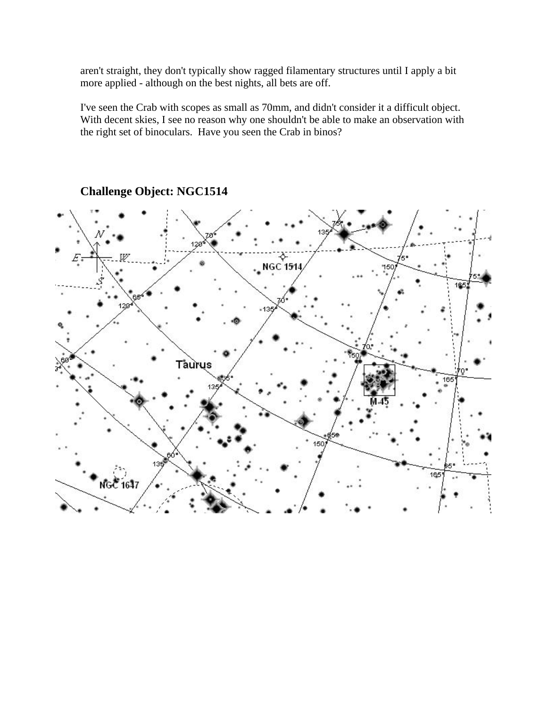aren't straight, they don't typically show ragged filamentary structures until I apply a bit more applied - although on the best nights, all bets are off.

I've seen the Crab with scopes as small as 70mm, and didn't consider it a difficult object. With decent skies, I see no reason why one shouldn't be able to make an observation with the right set of binoculars. Have you seen the Crab in binos?



**Challenge Object: NGC1514**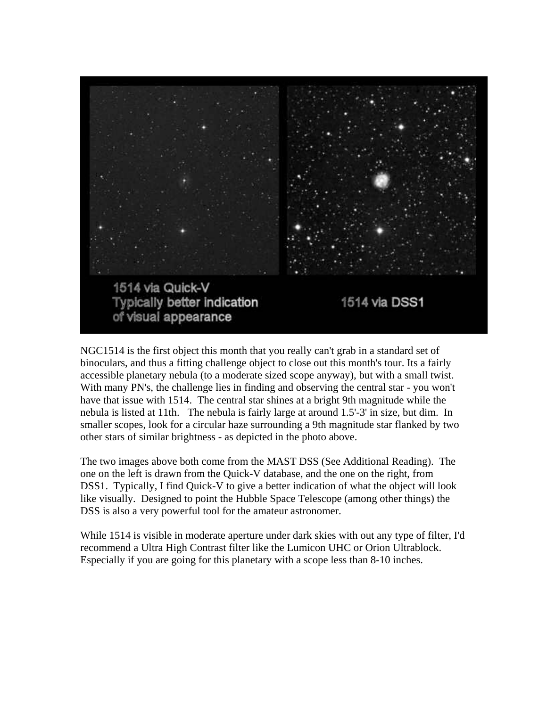

NGC1514 is the first object this month that you really can't grab in a standard set of binoculars, and thus a fitting challenge object to close out this month's tour. Its a fairly accessible planetary nebula (to a moderate sized scope anyway), but with a small twist. With many PN's, the challenge lies in finding and observing the central star - you won't have that issue with 1514. The central star shines at a bright 9th magnitude while the nebula is listed at 11th. The nebula is fairly large at around 1.5'-3' in size, but dim. In smaller scopes, look for a circular haze surrounding a 9th magnitude star flanked by two other stars of similar brightness - as depicted in the photo above.

The two images above both come from the MAST DSS (See Additional Reading). The one on the left is drawn from the Quick-V database, and the one on the right, from DSS1. Typically, I find Quick-V to give a better indication of what the object will look like visually. Designed to point the Hubble Space Telescope (among other things) the DSS is also a very powerful tool for the amateur astronomer.

While 1514 is visible in moderate aperture under dark skies with out any type of filter, I'd recommend a Ultra High Contrast filter like the Lumicon UHC or Orion Ultrablock. Especially if you are going for this planetary with a scope less than 8-10 inches.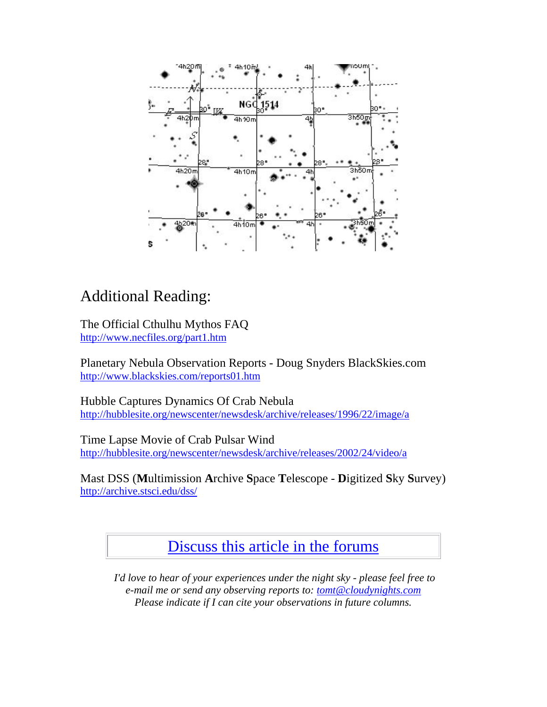

# Additional Reading:

The Official Cthulhu Mythos FAQ http://www.necfiles.org/part1.htm

Planetary Nebula Observation Reports - Doug Snyders BlackSkies.com http://www.blackskies.com/reports01.htm

Hubble Captures Dynamics Of Crab Nebula http://hubblesite.org/newscenter/newsdesk/archive/releases/1996/22/image/a

Time Lapse Movie of Crab Pulsar Wind http://hubblesite.org/newscenter/newsdesk/archive/releases/2002/24/video/a

Mast DSS (**M**ultimission **A**rchive **S**pace **T**elescope - **D**igitized **S**ky **S**urvey) http://archive.stsci.edu/dss/

Discuss this article in the forums

 *I'd love to hear of your experiences under the night sky - please feel free to e-mail me or send any observing reports to: tomt@cloudynights.com Please indicate if I can cite your observations in future columns.*